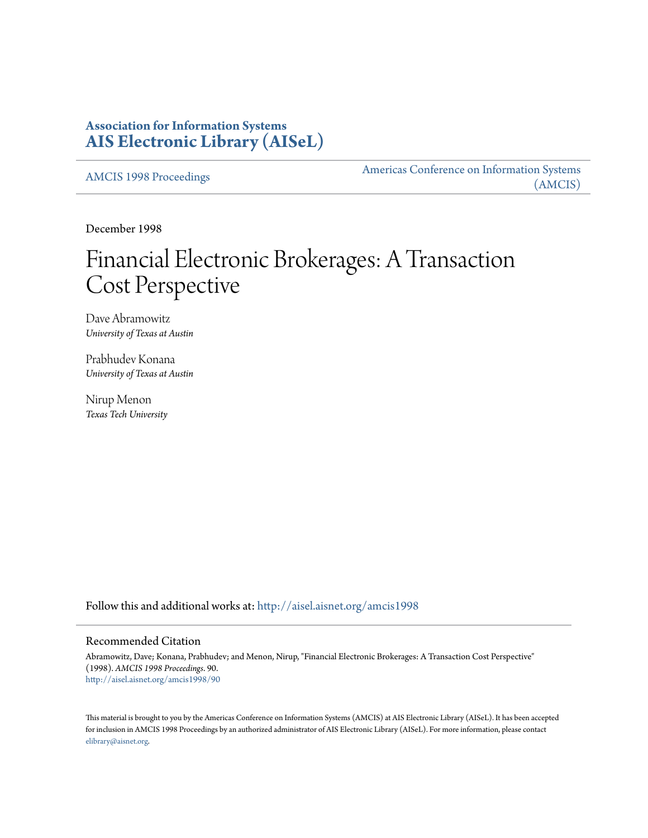# **Association for Information Systems [AIS Electronic Library \(AISeL\)](http://aisel.aisnet.org?utm_source=aisel.aisnet.org%2Famcis1998%2F90&utm_medium=PDF&utm_campaign=PDFCoverPages)**

[AMCIS 1998 Proceedings](http://aisel.aisnet.org/amcis1998?utm_source=aisel.aisnet.org%2Famcis1998%2F90&utm_medium=PDF&utm_campaign=PDFCoverPages)

[Americas Conference on Information Systems](http://aisel.aisnet.org/amcis?utm_source=aisel.aisnet.org%2Famcis1998%2F90&utm_medium=PDF&utm_campaign=PDFCoverPages) [\(AMCIS\)](http://aisel.aisnet.org/amcis?utm_source=aisel.aisnet.org%2Famcis1998%2F90&utm_medium=PDF&utm_campaign=PDFCoverPages)

December 1998

# Financial Electronic Brokerages: A Transaction Cost Perspective

Dave Abramowitz *University of Texas at Austin*

Prabhudev Konana *University of Texas at Austin*

Nirup Menon *Texas Tech University*

Follow this and additional works at: [http://aisel.aisnet.org/amcis1998](http://aisel.aisnet.org/amcis1998?utm_source=aisel.aisnet.org%2Famcis1998%2F90&utm_medium=PDF&utm_campaign=PDFCoverPages)

# Recommended Citation

Abramowitz, Dave; Konana, Prabhudev; and Menon, Nirup, "Financial Electronic Brokerages: A Transaction Cost Perspective" (1998). *AMCIS 1998 Proceedings*. 90. [http://aisel.aisnet.org/amcis1998/90](http://aisel.aisnet.org/amcis1998/90?utm_source=aisel.aisnet.org%2Famcis1998%2F90&utm_medium=PDF&utm_campaign=PDFCoverPages)

This material is brought to you by the Americas Conference on Information Systems (AMCIS) at AIS Electronic Library (AISeL). It has been accepted for inclusion in AMCIS 1998 Proceedings by an authorized administrator of AIS Electronic Library (AISeL). For more information, please contact [elibrary@aisnet.org.](mailto:elibrary@aisnet.org%3E)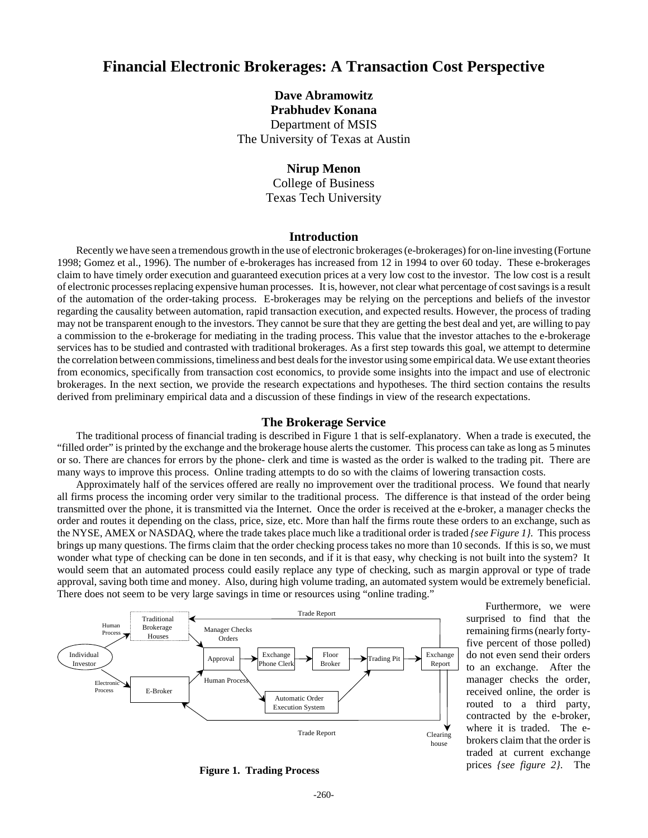# **Financial Electronic Brokerages: A Transaction Cost Perspective**

**Dave Abramowitz Prabhudev Konana** Department of MSIS The University of Texas at Austin

## **Nirup Menon**

College of Business Texas Tech University

### **Introduction**

Recently we have seen a tremendous growth in the use of electronic brokerages (e-brokerages) for on-line investing (Fortune 1998; Gomez et al., 1996). The number of e-brokerages has increased from 12 in 1994 to over 60 today. These e-brokerages claim to have timely order execution and guaranteed execution prices at a very low cost to the investor. The low cost is a result of electronic processes replacing expensive human processes. It is, however, not clear what percentage of cost savings is a result of the automation of the order-taking process. E-brokerages may be relying on the perceptions and beliefs of the investor regarding the causality between automation, rapid transaction execution, and expected results. However, the process of trading may not be transparent enough to the investors. They cannot be sure that they are getting the best deal and yet, are willing to pay a commission to the e-brokerage for mediating in the trading process. This value that the investor attaches to the e-brokerage services has to be studied and contrasted with traditional brokerages. As a first step towards this goal, we attempt to determine the correlation between commissions, timeliness and best deals for the investor using some empirical data. We use extant theories from economics, specifically from transaction cost economics, to provide some insights into the impact and use of electronic brokerages. In the next section, we provide the research expectations and hypotheses. The third section contains the results derived from preliminary empirical data and a discussion of these findings in view of the research expectations.

#### **The Brokerage Service**

The traditional process of financial trading is described in Figure 1 that is self-explanatory. When a trade is executed, the "filled order" is printed by the exchange and the brokerage house alerts the customer*.* This process can take as long as 5 minutes or so. There are chances for errors by the phone- clerk and time is wasted as the order is walked to the trading pit. There are many ways to improve this process. Online trading attempts to do so with the claims of lowering transaction costs.

Approximately half of the services offered are really no improvement over the traditional process. We found that nearly all firms process the incoming order very similar to the traditional process. The difference is that instead of the order being transmitted over the phone, it is transmitted via the Internet. Once the order is received at the e-broker, a manager checks the order and routes it depending on the class, price, size, etc. More than half the firms route these orders to an exchange, such as the NYSE, AMEX or NASDAQ, where the trade takes place much like a traditional order is traded *{see Figure 1}.* This process brings up many questions. The firms claim that the order checking process takes no more than 10 seconds. If this is so, we must wonder what type of checking can be done in ten seconds, and if it is that easy, why checking is not built into the system? It would seem that an automated process could easily replace any type of checking, such as margin approval or type of trade approval, saving both time and money. Also, during high volume trading, an automated system would be extremely beneficial. There does not seem to be very large savings in time or resources using "online trading."



Furthermore, we were surprised to find that the remaining firms (nearly fortyfive percent of those polled) do not even send their orders to an exchange. After the manager checks the order, received online, the order is routed to a third party, contracted by the e-broker, where it is traded. The ebrokers claim that the order is traded at current exchange prices *{see figure 2}.* The

**Figure 1. Trading Process**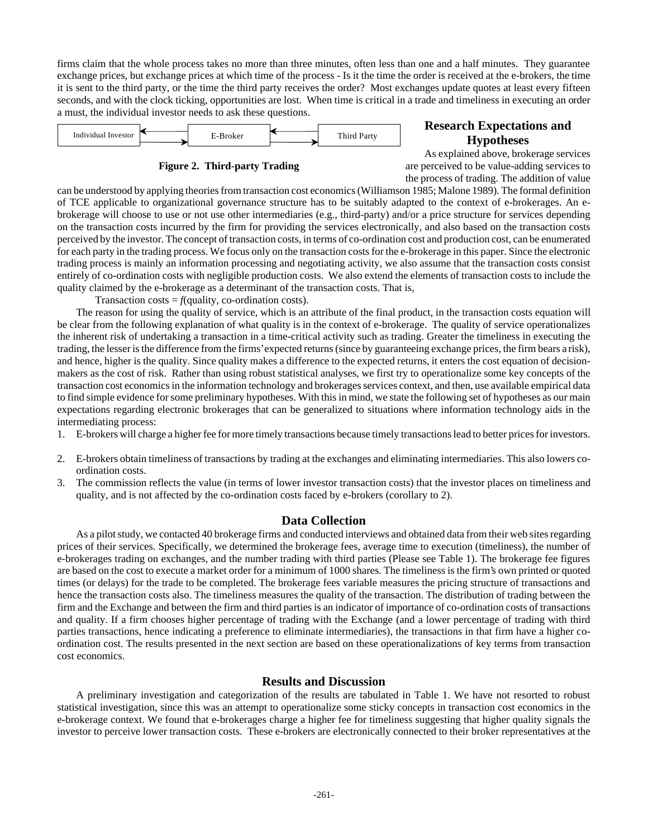firms claim that the whole process takes no more than three minutes, often less than one and a half minutes. They guarantee exchange prices, but exchange prices at which time of the process - Is it the time the order is received at the e-brokers, the time it is sent to the third party, or the time the third party receives the order? Most exchanges update quotes at least every fifteen seconds, and with the clock ticking, opportunities are lost. When time is critical in a trade and timeliness in executing an order a must, the individual investor needs to ask these questions.



## **Figure 2. Third-party Trading**

# **Research Expectations and Hypotheses**

As explained above, brokerage services are perceived to be value-adding services to the process of trading. The addition of value

can be understood by applying theories from transaction cost economics (Williamson 1985; Malone 1989). The formal definition of TCE applicable to organizational governance structure has to be suitably adapted to the context of e-brokerages. An ebrokerage will choose to use or not use other intermediaries (e.g., third-party) and/or a price structure for services depending on the transaction costs incurred by the firm for providing the services electronically, and also based on the transaction costs perceived by the investor. The concept of transaction costs, in terms of co-ordination cost and production cost, can be enumerated for each party in the trading process. We focus only on the transaction costs for the e-brokerage in this paper. Since the electronic trading process is mainly an information processing and negotiating activity, we also assume that the transaction costs consist entirely of co-ordination costs with negligible production costs. We also extend the elements of transaction costs to include the quality claimed by the e-brokerage as a determinant of the transaction costs. That is,

Transaction costs  $= f(\text{quality}, \text{co-ordinate} \cos t)$ .

The reason for using the quality of service, which is an attribute of the final product, in the transaction costs equation will be clear from the following explanation of what quality is in the context of e-brokerage. The quality of service operationalizes the inherent risk of undertaking a transaction in a time-critical activity such as trading. Greater the timeliness in executing the trading, the lesser is the difference from the firms' expected returns (since by guaranteeing exchange prices, the firm bears a risk), and hence, higher is the quality. Since quality makes a difference to the expected returns, it enters the cost equation of decisionmakers as the cost of risk. Rather than using robust statistical analyses, we first try to operationalize some key concepts of the transaction cost economics in the information technology and brokerages services context, and then, use available empirical data to find simple evidence for some preliminary hypotheses. With this in mind, we state the following set of hypotheses as our main expectations regarding electronic brokerages that can be generalized to situations where information technology aids in the intermediating process:

- 1. E-brokers will charge a higher fee for more timely transactions because timely transactions lead to better prices for investors.
- 2. E-brokers obtain timeliness of transactions by trading at the exchanges and eliminating intermediaries. This also lowers coordination costs.
- 3. The commission reflects the value (in terms of lower investor transaction costs) that the investor places on timeliness and quality, and is not affected by the co-ordination costs faced by e-brokers (corollary to 2).

# **Data Collection**

As a pilot study, we contacted 40 brokerage firms and conducted interviews and obtained data from their web sites regarding prices of their services. Specifically, we determined the brokerage fees, average time to execution (timeliness), the number of e-brokerages trading on exchanges, and the number trading with third parties (Please see Table 1). The brokerage fee figures are based on the cost to execute a market order for a minimum of 1000 shares. The timeliness is the firm's own printed or quoted times (or delays) for the trade to be completed. The brokerage fees variable measures the pricing structure of transactions and hence the transaction costs also. The timeliness measures the quality of the transaction. The distribution of trading between the firm and the Exchange and between the firm and third parties is an indicator of importance of co-ordination costs of transactions and quality. If a firm chooses higher percentage of trading with the Exchange (and a lower percentage of trading with third parties transactions, hence indicating a preference to eliminate intermediaries), the transactions in that firm have a higher coordination cost. The results presented in the next section are based on these operationalizations of key terms from transaction cost economics.

# **Results and Discussion**

A preliminary investigation and categorization of the results are tabulated in Table 1. We have not resorted to robust statistical investigation, since this was an attempt to operationalize some sticky concepts in transaction cost economics in the e-brokerage context. We found that e-brokerages charge a higher fee for timeliness suggesting that higher quality signals the investor to perceive lower transaction costs. These e-brokers are electronically connected to their broker representatives at the